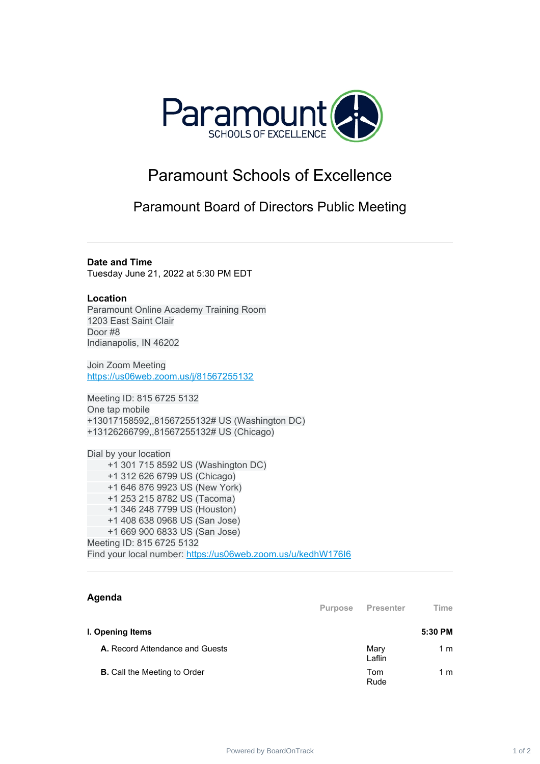

## Paramount Schools of Excellence

Paramount Board of Directors Public Meeting

**Date and Time**

Tuesday June 21, 2022 at 5:30 PM EDT

## **Location**

Paramount Online Academy Training Room 1203 East Saint Clair Door #8 Indianapolis, IN 46202

Join Zoom Meeting [https://us06web.zoom.us/j/81567255132](https://www.google.com/url?q=https://us06web.zoom.us/j/81567255132&sa=D&source=calendar&ust=1647109018889076&usg=AOvVaw2Q9gzkb7RV09D7MMovzEHi)

Meeting ID: 815 6725 5132 One tap mobile +13017158592,,81567255132# US (Washington DC) +13126266799,,81567255132# US (Chicago)

Dial by your location +1 301 715 8592 US (Washington DC) +1 312 626 6799 US (Chicago) +1 646 876 9923 US (New York) +1 253 215 8782 US (Tacoma) +1 346 248 7799 US (Houston) +1 408 638 0968 US (San Jose) +1 669 900 6833 US (San Jose) Meeting ID: 815 6725 5132 Find your local number: [https://us06web.zoom.us/u/kedhW176I6](https://www.google.com/url?q=https://us06web.zoom.us/u/kedhW176I6&sa=D&source=calendar&ust=1647109018889076&usg=AOvVaw0NpBo7QTNF9Kamrr1SBRMZ)

## **Agenda**

|                                     | <b>Purpose</b> | <b>Presenter</b> | Time    |
|-------------------------------------|----------------|------------------|---------|
| I. Opening Items                    |                |                  | 5:30 PM |
| A. Record Attendance and Guests     |                | Mary<br>Laflin   | 1 m     |
| <b>B.</b> Call the Meeting to Order |                | Tom<br>Rude      | 1 m     |